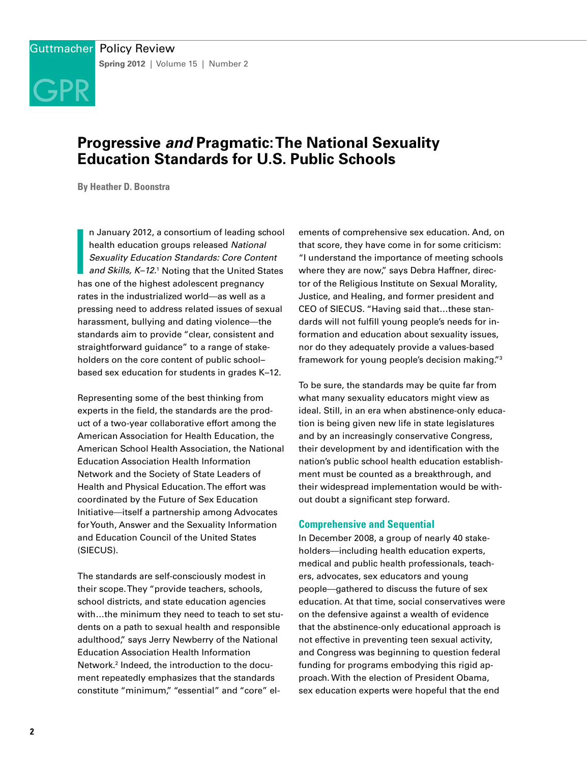# **Progressive** *and* **Pragmatic: The National Sexuality Education Standards for U.S. Public Schools**

**By Heather D. Boonstra**

GPR

**I**<br>I<br>I<br>I<br>I n January 2012, a consortium of leading school health education groups released *National Sexuality Education Standards: Core Content and Skills, K–12.*<sup>1</sup> Noting that the United States has one of the highest adolescent pregnancy rates in the industrialized world—as well as a pressing need to address related issues of sexual harassment, bullying and dating violence—the standards aim to provide "clear, consistent and straightforward guidance" to a range of stakeholders on the core content of public school– based sex education for students in grades K–12.

Representing some of the best thinking from experts in the field, the standards are the product of a two-year collaborative effort among the American Association for Health Education, the American School Health Association, the National Education Association Health Information Network and the Society of State Leaders of Health and Physical Education. The effort was coordinated by the Future of Sex Education Initiative—itself a partnership among Advocates for Youth, Answer and the Sexuality Information and Education Council of the United States (SIECUS).

The standards are self-consciously modest in their scope. They "provide teachers, schools, school districts, and state education agencies with…the minimum they need to teach to set students on a path to sexual health and responsible adulthood," says Jerry Newberry of the National Education Association Health Information Network.2 Indeed, the introduction to the document repeatedly emphasizes that the standards constitute "minimum," "essential" and "core" el-

ements of comprehensive sex education. And, on that score, they have come in for some criticism: "I understand the importance of meeting schools where they are now," says Debra Haffner, director of the Religious Institute on Sexual Morality, Justice, and Healing, and former president and CEO of SIECUS. "Having said that…these standards will not fulfill young people's needs for information and education about sexuality issues, nor do they adequately provide a values-based framework for young people's decision making."3

To be sure, the standards may be quite far from what many sexuality educators might view as ideal. Still, in an era when abstinence-only education is being given new life in state legislatures and by an increasingly conservative Congress, their development by and identification with the nation's public school health education establishment must be counted as a breakthrough, and their widespread implementation would be without doubt a significant step forward.

## **Comprehensive and Sequential**

In December 2008, a group of nearly 40 stakeholders—including health education experts, medical and public health professionals, teachers, advocates, sex educators and young people—gathered to discuss the future of sex education. At that time, social conservatives were on the defensive against a wealth of evidence that the abstinence-only educational approach is not effective in preventing teen sexual activity, and Congress was beginning to question federal funding for programs embodying this rigid approach. With the election of President Obama, sex education experts were hopeful that the end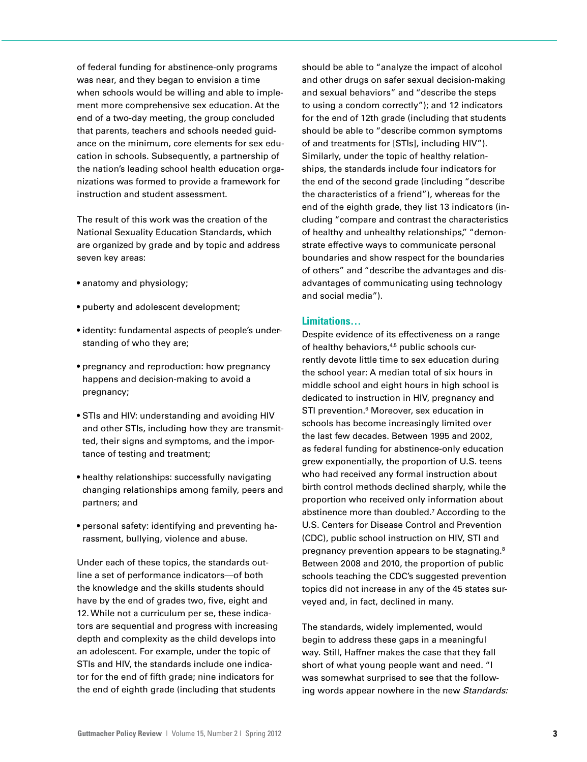of federal funding for abstinence-only programs was near, and they began to envision a time when schools would be willing and able to implement more comprehensive sex education. At the end of a two-day meeting, the group concluded that parents, teachers and schools needed guidance on the minimum, core elements for sex education in schools. Subsequently, a partnership of the nation's leading school health education organizations was formed to provide a framework for instruction and student assessment.

The result of this work was the creation of the National Sexuality Education Standards, which are organized by grade and by topic and address seven key areas:

- anatomy and physiology;
- puberty and adolescent development;
- identity: fundamental aspects of people's understanding of who they are;
- pregnancy and reproduction: how pregnancy happens and decision-making to avoid a pregnancy;
- STIs and HIV: understanding and avoiding HIV and other STIs, including how they are transmitted, their signs and symptoms, and the importance of testing and treatment;
- healthy relationships: successfully navigating changing relationships among family, peers and partners; and
- personal safety: identifying and preventing harassment, bullying, violence and abuse.

Under each of these topics, the standards outline a set of performance indicators—of both the knowledge and the skills students should have by the end of grades two, five, eight and 12. While not a curriculum per se, these indicators are sequential and progress with increasing depth and complexity as the child develops into an adolescent. For example, under the topic of STIs and HIV, the standards include one indicator for the end of fifth grade; nine indicators for the end of eighth grade (including that students

should be able to "analyze the impact of alcohol and other drugs on safer sexual decision-making and sexual behaviors" and "describe the steps to using a condom correctly"); and 12 indicators for the end of 12th grade (including that students should be able to "describe common symptoms of and treatments for [STIs], including HIV"). Similarly, under the topic of healthy relationships, the standards include four indicators for the end of the second grade (including "describe the characteristics of a friend"), whereas for the end of the eighth grade, they list 13 indicators (including "compare and contrast the characteristics of healthy and unhealthy relationships," "demonstrate effective ways to communicate personal boundaries and show respect for the boundaries of others" and "describe the advantages and disadvantages of communicating using technology and social media").

# **Limitations…**

Despite evidence of its effectiveness on a range of healthy behaviors,<sup>4,5</sup> public schools currently devote little time to sex education during the school year: A median total of six hours in middle school and eight hours in high school is dedicated to instruction in HIV, pregnancy and STI prevention.<sup>6</sup> Moreover, sex education in schools has become increasingly limited over the last few decades. Between 1995 and 2002, as federal funding for abstinence-only education grew exponentially, the proportion of U.S. teens who had received any formal instruction about birth control methods declined sharply, while the proportion who received only information about abstinence more than doubled.<sup>7</sup> According to the U.S. Centers for Disease Control and Prevention (CDC), public school instruction on HIV, STI and pregnancy prevention appears to be stagnating.8 Between 2008 and 2010, the proportion of public schools teaching the CDC's suggested prevention topics did not increase in any of the 45 states surveyed and, in fact, declined in many.

The standards, widely implemented, would begin to address these gaps in a meaningful way. Still, Haffner makes the case that they fall short of what young people want and need. "I was somewhat surprised to see that the following words appear nowhere in the new *Standards:*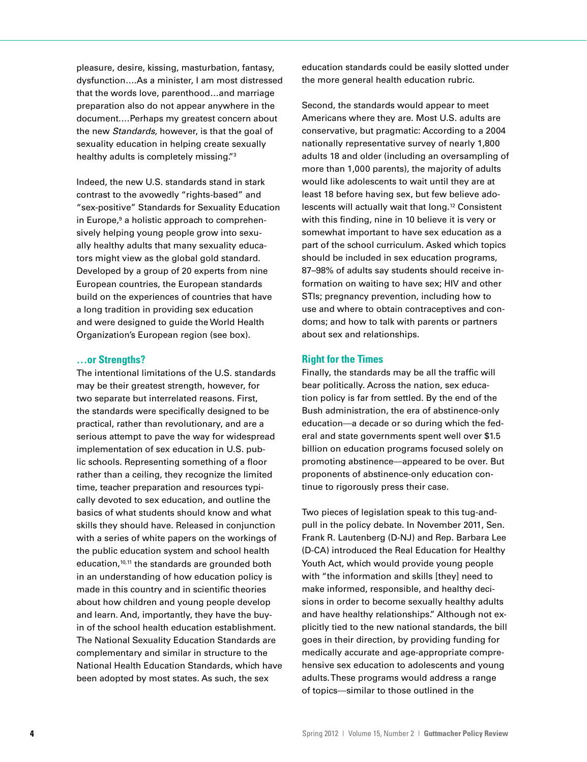pleasure, desire, kissing, masturbation, fantasy, dysfunction….As a minister, I am most distressed that the words love, parenthood…and marriage preparation also do not appear anywhere in the document.…Perhaps my greatest concern about the new *Standards,* however, is that the goal of sexuality education in helping create sexually healthy adults is completely missing."3

Indeed, the new U.S. standards stand in stark contrast to the avowedly "rights-based" and "sex-positive" Standards for Sexuality Education in Europe,<sup>9</sup> a holistic approach to comprehensively helping young people grow into sexually healthy adults that many sexuality educators might view as the global gold standard. Developed by a group of 20 experts from nine European countries, the European standards build on the experiences of countries that have a long tradition in providing sex education and were designed to guide the World Health Organization's European region (see box).

#### **…or Strengths?**

The intentional limitations of the U.S. standards may be their greatest strength, however, for two separate but interrelated reasons. First, the standards were specifically designed to be practical, rather than revolutionary, and are a serious attempt to pave the way for widespread implementation of sex education in U.S. public schools. Representing something of a floor rather than a ceiling, they recognize the limited time, teacher preparation and resources typically devoted to sex education, and outline the basics of what students should know and what skills they should have. Released in conjunction with a series of white papers on the workings of the public education system and school health education,<sup>10,11</sup> the standards are grounded both in an understanding of how education policy is made in this country and in scientific theories about how children and young people develop and learn. And, importantly, they have the buyin of the school health education establishment. The National Sexuality Education Standards are complementary and similar in structure to the National Health Education Standards, which have been adopted by most states. As such, the sex

education standards could be easily slotted under the more general health education rubric.

Second, the standards would appear to meet Americans where they are. Most U.S. adults are conservative, but pragmatic: According to a 2004 nationally representative survey of nearly 1,800 adults 18 and older (including an oversampling of more than 1,000 parents), the majority of adults would like adolescents to wait until they are at least 18 before having sex, but few believe adolescents will actually wait that long.12 Consistent with this finding, nine in 10 believe it is very or somewhat important to have sex education as a part of the school curriculum. Asked which topics should be included in sex education programs, 87–98% of adults say students should receive information on waiting to have sex; HIV and other STIs; pregnancy prevention, including how to use and where to obtain contraceptives and condoms; and how to talk with parents or partners about sex and relationships.

# **Right for the Times**

Finally, the standards may be all the traffic will bear politically. Across the nation, sex education policy is far from settled. By the end of the Bush administration, the era of abstinence-only education—a decade or so during which the federal and state governments spent well over \$1.5 billion on education programs focused solely on promoting abstinence—appeared to be over. But proponents of abstinence-only education continue to rigorously press their case.

Two pieces of legislation speak to this tug-andpull in the policy debate. In November 2011, Sen. Frank R. Lautenberg (D-NJ) and Rep. Barbara Lee (D-CA) introduced the Real Education for Healthy Youth Act, which would provide young people with "the information and skills [they] need to make informed, responsible, and healthy decisions in order to become sexually healthy adults and have healthy relationships." Although not explicitly tied to the new national standards, the bill goes in their direction, by providing funding for medically accurate and age-appropriate comprehensive sex education to adolescents and young adults. These programs would address a range of topics—similar to those outlined in the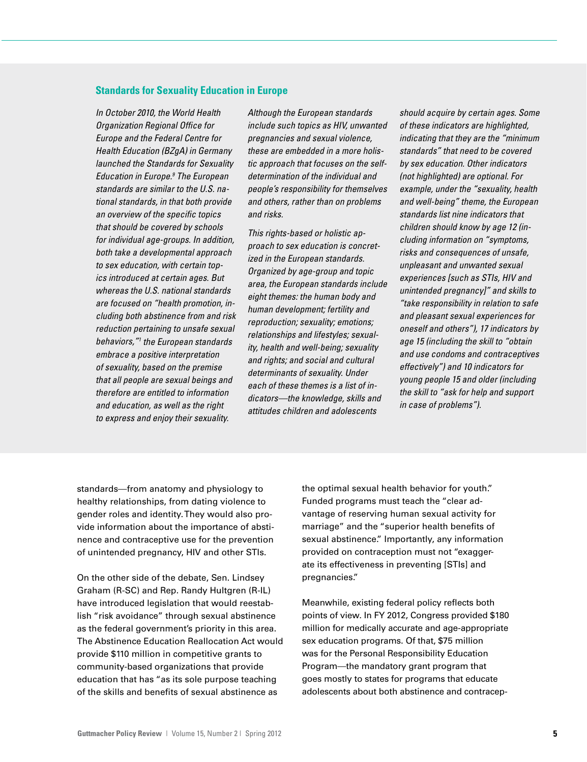# **Standards for Sexuality Education in Europe**

*In October 2010, the World Health Organization Regional Office for Europe and the Federal Centre for Health Education (BZgA) in Germany launched the Standards for Sexuality Education in Europe.9 The European standards are similar to the U.S. national standards, in that both provide an overview of the specific topics that should be covered by schools for individual age-groups. In addition, both take a developmental approach to sex education, with certain topics introduced at certain ages. But whereas the U.S. national standards are focused on "health promotion, including both abstinence from and risk reduction pertaining to unsafe sexual behaviors,"1 the European standards embrace a positive interpretation of sexuality, based on the premise that all people are sexual beings and therefore are entitled to information and education, as well as the right to express and enjoy their sexuality.*

*Although the European standards include such topics as HIV, unwanted pregnancies and sexual violence, these are embedded in a more holistic approach that focuses on the selfdetermination of the individual and people's responsibility for themselves and others, rather than on problems and risks.*

*This rights-based or holistic approach to sex education is concretized in the European standards. Organized by age-group and topic area, the European standards include eight themes: the human body and human development; fertility and reproduction; sexuality; emotions; relationships and lifestyles; sexuality, health and well-being; sexuality and rights; and social and cultural determinants of sexuality. Under each of these themes is a list of indicators—the knowledge, skills and attitudes children and adolescents* 

*should acquire by certain ages. Some of these indicators are highlighted, indicating that they are the "minimum standards" that need to be covered by sex education. Other indicators (not highlighted) are optional. For example, under the "sexuality, health and well-being" theme, the European standards list nine indicators that children should know by age 12 (including information on "symptoms, risks and consequences of unsafe, unpleasant and unwanted sexual experiences [such as STIs, HIV and unintended pregnancy]" and skills to "take responsibility in relation to safe and pleasant sexual experiences for oneself and others"), 17 indicators by age 15 (including the skill to "obtain and use condoms and contraceptives effectively") and 10 indicators for young people 15 and older (including the skill to "ask for help and support in case of problems").*

standards—from anatomy and physiology to healthy relationships, from dating violence to gender roles and identity. They would also provide information about the importance of abstinence and contraceptive use for the prevention of unintended pregnancy, HIV and other STIs.

On the other side of the debate, Sen. Lindsey Graham (R-SC) and Rep. Randy Hultgren (R-IL) have introduced legislation that would reestablish "risk avoidance" through sexual abstinence as the federal government's priority in this area. The Abstinence Education Reallocation Act would provide \$110 million in competitive grants to community-based organizations that provide education that has "as its sole purpose teaching of the skills and benefits of sexual abstinence as

the optimal sexual health behavior for youth." Funded programs must teach the "clear advantage of reserving human sexual activity for marriage" and the "superior health benefits of sexual abstinence." Importantly, any information provided on contraception must not "exaggerate its effectiveness in preventing [STIs] and pregnancies."

Meanwhile, existing federal policy reflects both points of view. In FY 2012, Congress provided \$180 million for medically accurate and age-appropriate sex education programs. Of that, \$75 million was for the Personal Responsibility Education Program—the mandatory grant program that goes mostly to states for programs that educate adolescents about both abstinence and contracep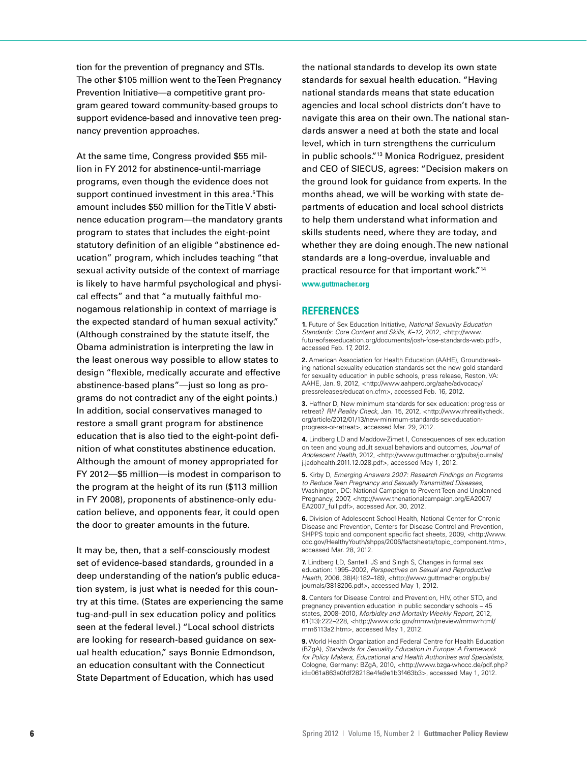tion for the prevention of pregnancy and STIs. The other \$105 million went to the Teen Pregnancy Prevention Initiative—a competitive grant program geared toward community-based groups to support evidence-based and innovative teen pregnancy prevention approaches.

At the same time, Congress provided \$55 million in FY 2012 for abstinence-until-marriage programs, even though the evidence does not support continued investment in this area.<sup>5</sup>This amount includes \$50 million for the Title V abstinence education program—the mandatory grants program to states that includes the eight-point statutory definition of an eligible "abstinence education" program, which includes teaching "that sexual activity outside of the context of marriage is likely to have harmful psychological and physical effects" and that "a mutually faithful monogamous relationship in context of marriage is the expected standard of human sexual activity." (Although constrained by the statute itself, the Obama administration is interpreting the law in the least onerous way possible to allow states to design "flexible, medically accurate and effective abstinence-based plans"—just so long as programs do not contradict any of the eight points.) In addition, social conservatives managed to restore a small grant program for abstinence education that is also tied to the eight-point definition of what constitutes abstinence education. Although the amount of money appropriated for FY 2012—\$5 million—is modest in comparison to the program at the height of its run (\$113 million in FY 2008), proponents of abstinence-only education believe, and opponents fear, it could open the door to greater amounts in the future.

It may be, then, that a self-consciously modest set of evidence-based standards, grounded in a deep understanding of the nation's public education system, is just what is needed for this country at this time. (States are experiencing the same tug-and-pull in sex education policy and politics seen at the federal level.) "Local school districts are looking for research-based guidance on sexual health education," says Bonnie Edmondson, an education consultant with the Connecticut State Department of Education, which has used

the national standards to develop its own state standards for sexual health education. "Having national standards means that state education agencies and local school districts don't have to navigate this area on their own. The national standards answer a need at both the state and local level, which in turn strengthens the curriculum in public schools."13 Monica Rodriguez, president and CEO of SIECUS, agrees: "Decision makers on the ground look for guidance from experts. In the months ahead, we will be working with state departments of education and local school districts to help them understand what information and skills students need, where they are today, and whether they are doing enough. The new national standards are a long-overdue, invaluable and practical resource for that important work."14 **www.guttmacher.org**

# **REFERENCES**

**1.** Future of Sex Education Initiative, *National Sexuality Education Standards: Core Content and Skills, K–12,* 2012, <http://www. futureofsexeducation.org/documents/josh-fose-standards-web.pdf>, accessed Feb. 17, 2012.

**2.** American Association for Health Education (AAHE), Groundbreaking national sexuality education standards set the new gold standard for sexuality education in public schools, press release, Reston, VA: AAHE, Jan. 9, 2012, <http://www.aahperd.org/aahe/advocacy/ pressreleases/education.cfm>, accessed Feb. 16, 2012.

**3.** Haffner D, New minimum standards for sex education: progress or retreat? *RH Reality Check,* Jan. 15, 2012, <http://www.rhrealitycheck. org/article/2012/01/13/new-minimum-standards-sex-educationprogress-or-retreat>, accessed Mar. 29, 2012.

**4.** Lindberg LD and Maddow-Zimet I, Consequences of sex education on teen and young adult sexual behaviors and outcomes, *Journal of Adolescent Health,* 2012, <http://www.guttmacher.org/pubs/journals/ j.jadohealth.2011.12.028.pdf>, accessed May 1, 2012.

**5.** Kirby D, *Emerging Answers 2007: Research Findings on Programs to Reduce Teen Pregnancy and Sexually Transmitted Diseases,*  Washington, DC: National Campaign to Prevent Teen and Unplanned Pregnancy, 2007, <http://www.thenationalcampaign.org/EA2007/ EA2007\_full.pdf>, accessed Apr. 30, 2012.

**6.** Division of Adolescent School Health, National Center for Chronic Disease and Prevention, Centers for Disease Control and Prevention, SHPPS topic and component specific fact sheets, 2009, <http://www. cdc.gov/HealthyYouth/shpps/2006/factsheets/topic\_component.htm>, accessed Mar. 28, 2012.

**7.** Lindberg LD, Santelli JS and Singh S, Changes in formal sex education: 1995–2002, *Perspectives on Sexual and Reproductive Health,* 2006, 38(4):182–189, <http://www.guttmacher.org/pubs/ journals/3818206.pdf>, accessed May 1, 2012.

**8.** Centers for Disease Control and Prevention, HIV, other STD, and pregnancy prevention education in public secondary schools – 45 states, 2008–2010, *Morbidity and Mortality Weekly Report,* 2012, 61(13):222–228, <http://www.cdc.gov/mmwr/preview/mmwrhtml/ mm6113a2.htm>, accessed May 1, 2012.

**9.** World Health Organization and Federal Centre for Health Education (BZgA), *Standards for Sexuality Education in Europe: A Framework for Policy Makers, Educational and Health Authorities and Specialists,* Cologne, Germany: BZgA, 2010, <http://www.bzga-whocc.de/pdf.php? id=061a863a0fdf28218e4fe9e1b3f463b3>, accessed May 1, 2012.